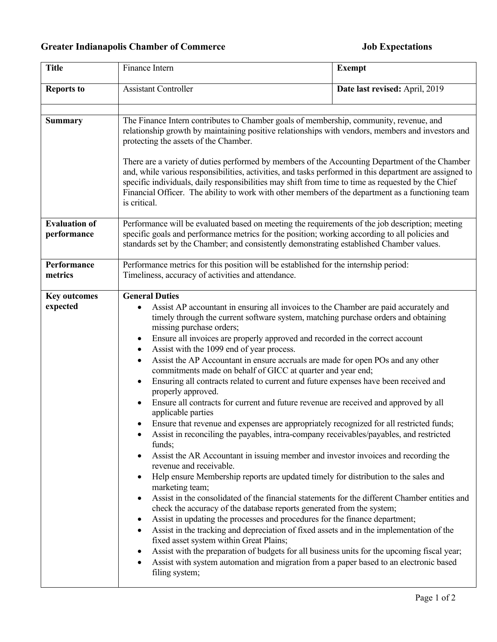## **Greater Indianapolis Chamber of Commerce Job Expectations**

| <b>Title</b>                        | Finance Intern                                                                                                                                                                                                                                                                                                                                                                                                                                                                                                                                                                                                                                                                                                                                                                                                                                                                                                                                                                                                                                                                                                                                                                                                                                                                                                                                                                                                                                                                                                                                                                                                                                                                                                                                                                                           | <b>Exempt</b>                  |
|-------------------------------------|----------------------------------------------------------------------------------------------------------------------------------------------------------------------------------------------------------------------------------------------------------------------------------------------------------------------------------------------------------------------------------------------------------------------------------------------------------------------------------------------------------------------------------------------------------------------------------------------------------------------------------------------------------------------------------------------------------------------------------------------------------------------------------------------------------------------------------------------------------------------------------------------------------------------------------------------------------------------------------------------------------------------------------------------------------------------------------------------------------------------------------------------------------------------------------------------------------------------------------------------------------------------------------------------------------------------------------------------------------------------------------------------------------------------------------------------------------------------------------------------------------------------------------------------------------------------------------------------------------------------------------------------------------------------------------------------------------------------------------------------------------------------------------------------------------|--------------------------------|
| <b>Reports to</b>                   | <b>Assistant Controller</b>                                                                                                                                                                                                                                                                                                                                                                                                                                                                                                                                                                                                                                                                                                                                                                                                                                                                                                                                                                                                                                                                                                                                                                                                                                                                                                                                                                                                                                                                                                                                                                                                                                                                                                                                                                              | Date last revised: April, 2019 |
| <b>Summary</b>                      | The Finance Intern contributes to Chamber goals of membership, community, revenue, and<br>relationship growth by maintaining positive relationships with vendors, members and investors and<br>protecting the assets of the Chamber.<br>There are a variety of duties performed by members of the Accounting Department of the Chamber<br>and, while various responsibilities, activities, and tasks performed in this department are assigned to<br>specific individuals, daily responsibilities may shift from time to time as requested by the Chief<br>Financial Officer. The ability to work with other members of the department as a functioning team<br>is critical.                                                                                                                                                                                                                                                                                                                                                                                                                                                                                                                                                                                                                                                                                                                                                                                                                                                                                                                                                                                                                                                                                                                             |                                |
| <b>Evaluation of</b><br>performance | Performance will be evaluated based on meeting the requirements of the job description; meeting<br>specific goals and performance metrics for the position; working according to all policies and<br>standards set by the Chamber; and consistently demonstrating established Chamber values.                                                                                                                                                                                                                                                                                                                                                                                                                                                                                                                                                                                                                                                                                                                                                                                                                                                                                                                                                                                                                                                                                                                                                                                                                                                                                                                                                                                                                                                                                                            |                                |
| Performance<br>metrics              | Performance metrics for this position will be established for the internship period:<br>Timeliness, accuracy of activities and attendance.                                                                                                                                                                                                                                                                                                                                                                                                                                                                                                                                                                                                                                                                                                                                                                                                                                                                                                                                                                                                                                                                                                                                                                                                                                                                                                                                                                                                                                                                                                                                                                                                                                                               |                                |
| <b>Key outcomes</b><br>expected     | <b>General Duties</b><br>Assist AP accountant in ensuring all invoices to the Chamber are paid accurately and<br>timely through the current software system, matching purchase orders and obtaining<br>missing purchase orders;<br>Ensure all invoices are properly approved and recorded in the correct account<br>٠<br>Assist with the 1099 end of year process.<br>٠<br>Assist the AP Accountant in ensure accruals are made for open POs and any other<br>commitments made on behalf of GICC at quarter and year end;<br>Ensuring all contracts related to current and future expenses have been received and<br>properly approved.<br>Ensure all contracts for current and future revenue are received and approved by all<br>applicable parties<br>• Ensure that revenue and expenses are appropriately recognized for all restricted funds;<br>Assist in reconciling the payables, intra-company receivables/payables, and restricted<br>funds;<br>Assist the AR Accountant in issuing member and investor invoices and recording the<br>revenue and receivable.<br>Help ensure Membership reports are updated timely for distribution to the sales and<br>marketing team;<br>Assist in the consolidated of the financial statements for the different Chamber entities and<br>check the accuracy of the database reports generated from the system;<br>Assist in updating the processes and procedures for the finance department;<br>Assist in the tracking and depreciation of fixed assets and in the implementation of the<br>fixed asset system within Great Plains;<br>Assist with the preparation of budgets for all business units for the upcoming fiscal year;<br>$\bullet$<br>Assist with system automation and migration from a paper based to an electronic based<br>filing system; |                                |